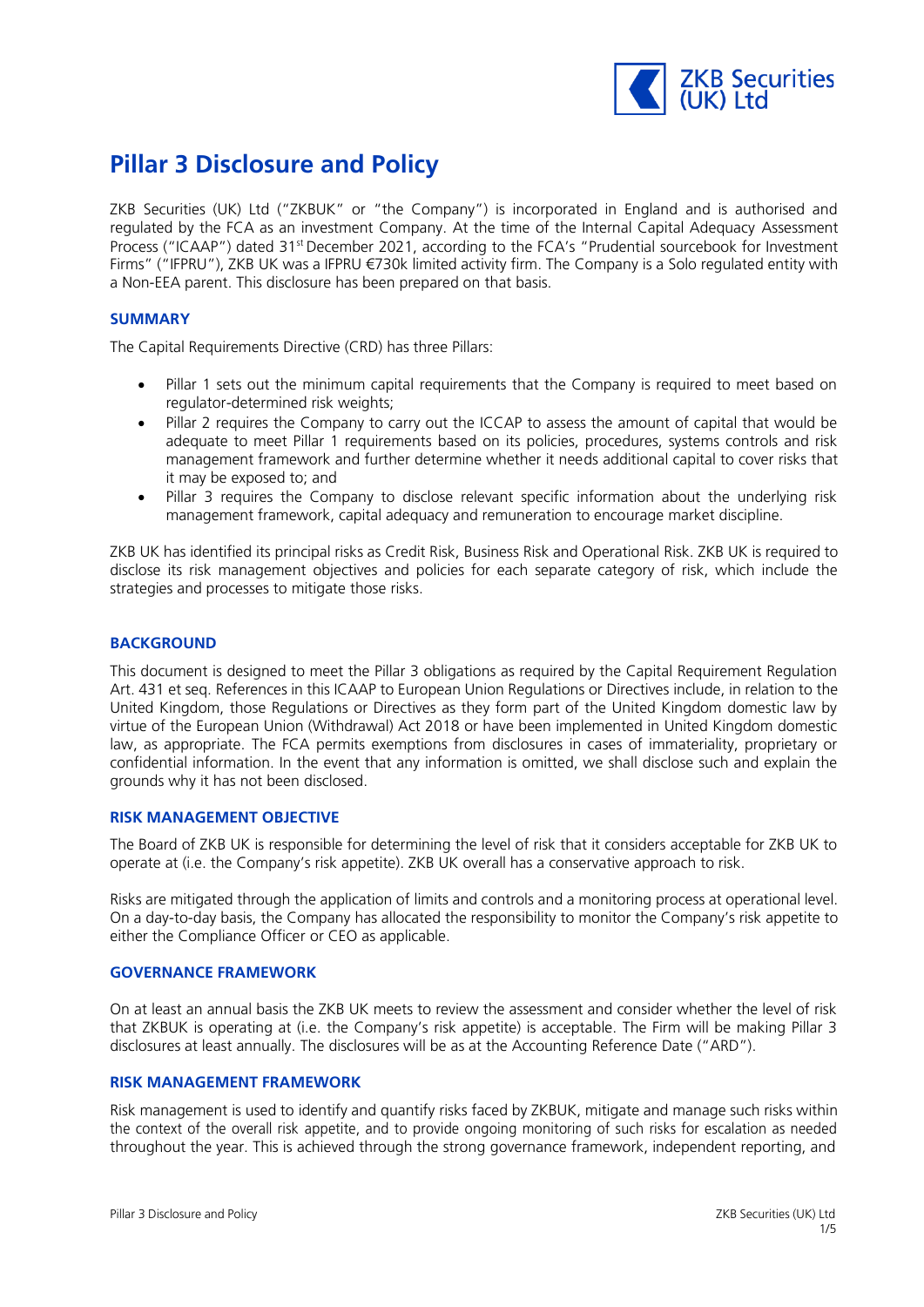

# **Pillar 3 Disclosure and Policy**

ZKB Securities (UK) Ltd ("ZKBUK" or "the Company") is incorporated in England and is authorised and regulated by the FCA as an investment Company. At the time of the Internal Capital Adequacy Assessment Process ("ICAAP") dated 31<sup>st</sup> December 2021, according to the FCA's "Prudential sourcebook for Investment Firms" ("IFPRU"), ZKB UK was a IFPRU €730k limited activity firm. The Company is a Solo regulated entity with a Non-EEA parent. This disclosure has been prepared on that basis.

# **SUMMARY**

The Capital Requirements Directive (CRD) has three Pillars:

- Pillar 1 sets out the minimum capital requirements that the Company is required to meet based on regulator-determined risk weights;
- Pillar 2 requires the Company to carry out the ICCAP to assess the amount of capital that would be adequate to meet Pillar 1 requirements based on its policies, procedures, systems controls and risk management framework and further determine whether it needs additional capital to cover risks that it may be exposed to; and
- Pillar 3 requires the Company to disclose relevant specific information about the underlying risk management framework, capital adequacy and remuneration to encourage market discipline.

ZKB UK has identified its principal risks as Credit Risk, Business Risk and Operational Risk. ZKB UK is required to disclose its risk management objectives and policies for each separate category of risk, which include the strategies and processes to mitigate those risks.

### **BACKGROUND**

This document is designed to meet the Pillar 3 obligations as required by the Capital Requirement Regulation Art. 431 et seq. References in this ICAAP to European Union Regulations or Directives include, in relation to the United Kingdom, those Regulations or Directives as they form part of the United Kingdom domestic law by virtue of the European Union (Withdrawal) Act 2018 or have been implemented in United Kingdom domestic law, as appropriate. The FCA permits exemptions from disclosures in cases of immateriality, proprietary or confidential information. In the event that any information is omitted, we shall disclose such and explain the grounds why it has not been disclosed.

#### **RISK MANAGEMENT OBJECTIVE**

The Board of ZKB UK is responsible for determining the level of risk that it considers acceptable for ZKB UK to operate at (i.e. the Company's risk appetite). ZKB UK overall has a conservative approach to risk.

Risks are mitigated through the application of limits and controls and a monitoring process at operational level. On a day-to-day basis, the Company has allocated the responsibility to monitor the Company's risk appetite to either the Compliance Officer or CEO as applicable.

#### **GOVERNANCE FRAMEWORK**

On at least an annual basis the ZKB UK meets to review the assessment and consider whether the level of risk that ZKBUK is operating at (i.e. the Company's risk appetite) is acceptable. The Firm will be making Pillar 3 disclosures at least annually. The disclosures will be as at the Accounting Reference Date ("ARD").

# **RISK MANAGEMENT FRAMEWORK**

Risk management is used to identify and quantify risks faced by ZKBUK, mitigate and manage such risks within the context of the overall risk appetite, and to provide ongoing monitoring of such risks for escalation as needed throughout the year. This is achieved through the strong governance framework, independent reporting, and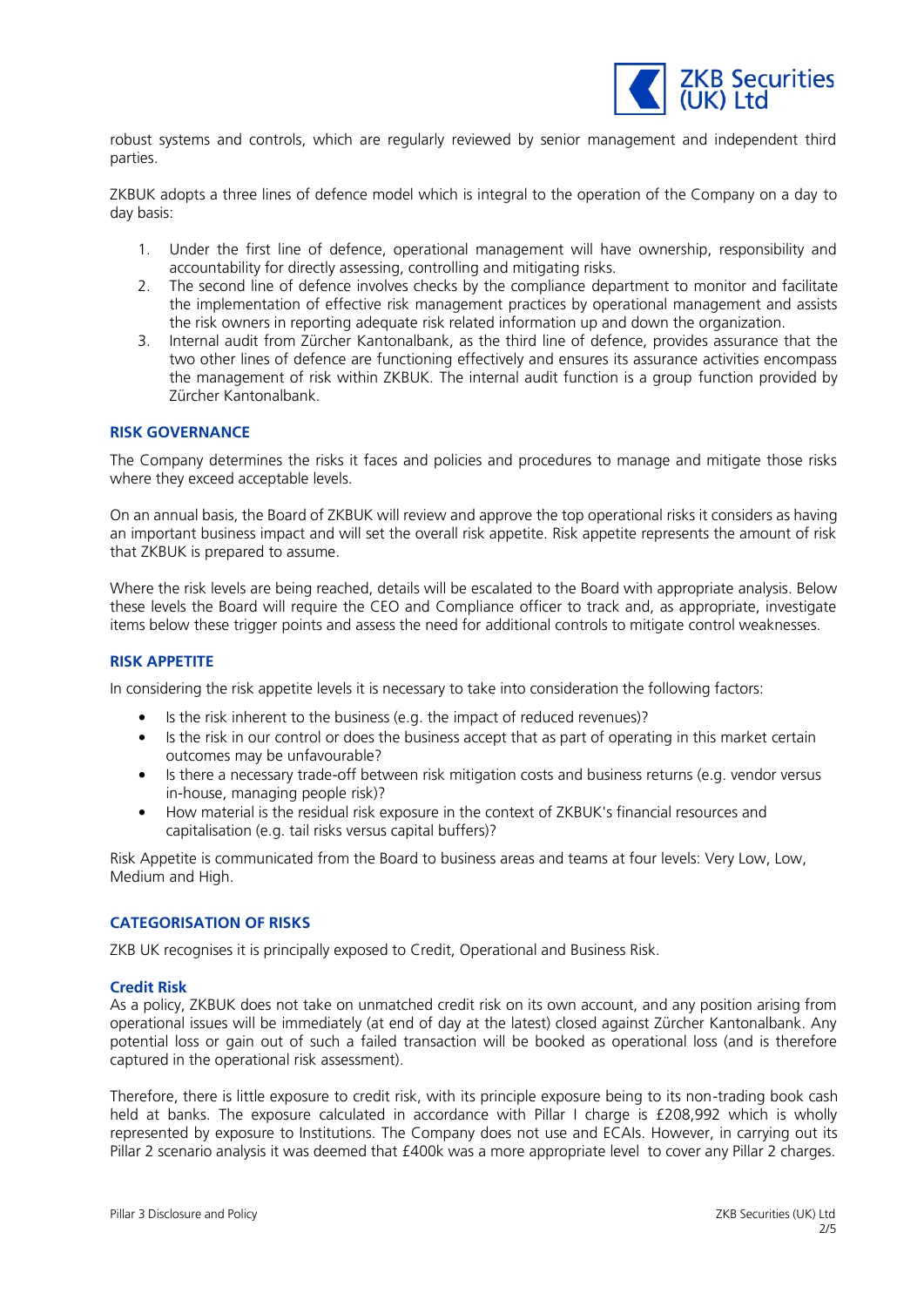

robust systems and controls, which are regularly reviewed by senior management and independent third parties.

ZKBUK adopts a three lines of defence model which is integral to the operation of the Company on a day to day basis:

- 1. Under the first line of defence, operational management will have ownership, responsibility and accountability for directly assessing, controlling and mitigating risks.
- 2. The second line of defence involves checks by the compliance department to monitor and facilitate the implementation of effective risk management practices by operational management and assists the risk owners in reporting adequate risk related information up and down the organization.
- 3. Internal audit from Zürcher Kantonalbank, as the third line of defence, provides assurance that the two other lines of defence are functioning effectively and ensures its assurance activities encompass the management of risk within ZKBUK. The internal audit function is a group function provided by Zürcher Kantonalbank.

### **RISK GOVERNANCE**

The Company determines the risks it faces and policies and procedures to manage and mitigate those risks where they exceed acceptable levels.

On an annual basis, the Board of ZKBUK will review and approve the top operational risks it considers as having an important business impact and will set the overall risk appetite. Risk appetite represents the amount of risk that ZKBUK is prepared to assume.

Where the risk levels are being reached, details will be escalated to the Board with appropriate analysis. Below these levels the Board will require the CEO and Compliance officer to track and, as appropriate, investigate items below these trigger points and assess the need for additional controls to mitigate control weaknesses.

# **RISK APPETITE**

In considering the risk appetite levels it is necessary to take into consideration the following factors:

- Is the risk inherent to the business (e.g. the impact of reduced revenues)?
- Is the risk in our control or does the business accept that as part of operating in this market certain outcomes may be unfavourable?
- Is there a necessary trade-off between risk mitigation costs and business returns (e.g. vendor versus in-house, managing people risk)?
- How material is the residual risk exposure in the context of ZKBUK's financial resources and capitalisation (e.g. tail risks versus capital buffers)?

Risk Appetite is communicated from the Board to business areas and teams at four levels: Very Low, Low, Medium and High.

#### **CATEGORISATION OF RISKS**

ZKB UK recognises it is principally exposed to Credit, Operational and Business Risk.

#### **Credit Risk**

As a policy, ZKBUK does not take on unmatched credit risk on its own account, and any position arising from operational issues will be immediately (at end of day at the latest) closed against Zürcher Kantonalbank. Any potential loss or gain out of such a failed transaction will be booked as operational loss (and is therefore captured in the operational risk assessment).

Therefore, there is little exposure to credit risk, with its principle exposure being to its non-trading book cash held at banks. The exposure calculated in accordance with Pillar I charge is £208,992 which is wholly represented by exposure to Institutions. The Company does not use and ECAIs. However, in carrying out its Pillar 2 scenario analysis it was deemed that £400k was a more appropriate level to cover any Pillar 2 charges.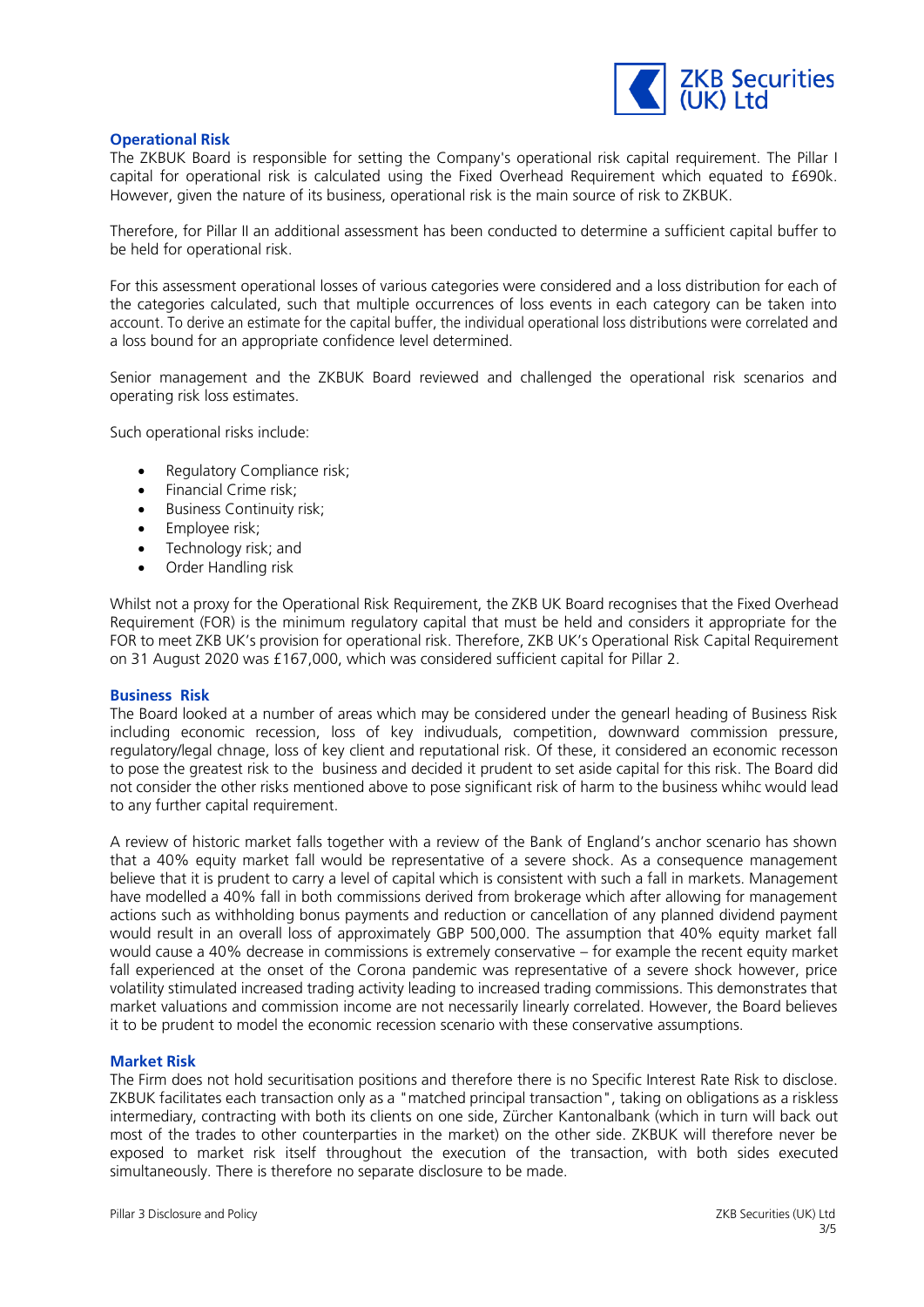

## **Operational Risk**

The ZKBUK Board is responsible for setting the Company's operational risk capital requirement. The Pillar I capital for operational risk is calculated using the Fixed Overhead Requirement which equated to £690k. However, given the nature of its business, operational risk is the main source of risk to ZKBUK.

Therefore, for Pillar II an additional assessment has been conducted to determine a sufficient capital buffer to be held for operational risk.

For this assessment operational losses of various categories were considered and a loss distribution for each of the categories calculated, such that multiple occurrences of loss events in each category can be taken into account. To derive an estimate for the capital buffer, the individual operational loss distributions were correlated and a loss bound for an appropriate confidence level determined.

Senior management and the ZKBUK Board reviewed and challenged the operational risk scenarios and operating risk loss estimates.

Such operational risks include:

- Regulatory Compliance risk;
- Financial Crime risk;
- Business Continuity risk;
- Employee risk;
- Technology risk; and
- Order Handling risk

Whilst not a proxy for the Operational Risk Requirement, the ZKB UK Board recognises that the Fixed Overhead Requirement (FOR) is the minimum regulatory capital that must be held and considers it appropriate for the FOR to meet ZKB UK's provision for operational risk. Therefore, ZKB UK's Operational Risk Capital Requirement on 31 August 2020 was £167,000, which was considered sufficient capital for Pillar 2.

#### **Business Risk**

The Board looked at a number of areas which may be considered under the genearl heading of Business Risk including economic recession, loss of key indivuduals, competition, downward commission pressure, regulatory/legal chnage, loss of key client and reputational risk. Of these, it considered an economic recesson to pose the greatest risk to the business and decided it prudent to set aside capital for this risk. The Board did not consider the other risks mentioned above to pose significant risk of harm to the business whihc would lead to any further capital requirement.

A review of historic market falls together with a review of the Bank of England's anchor scenario has shown that a 40% equity market fall would be representative of a severe shock. As a consequence management believe that it is prudent to carry a level of capital which is consistent with such a fall in markets. Management have modelled a 40% fall in both commissions derived from brokerage which after allowing for management actions such as withholding bonus payments and reduction or cancellation of any planned dividend payment would result in an overall loss of approximately GBP 500,000. The assumption that 40% equity market fall would cause a 40% decrease in commissions is extremely conservative – for example the recent equity market fall experienced at the onset of the Corona pandemic was representative of a severe shock however, price volatility stimulated increased trading activity leading to increased trading commissions. This demonstrates that market valuations and commission income are not necessarily linearly correlated. However, the Board believes it to be prudent to model the economic recession scenario with these conservative assumptions.

#### **Market Risk**

The Firm does not hold securitisation positions and therefore there is no Specific Interest Rate Risk to disclose. ZKBUK facilitates each transaction only as a "matched principal transaction", taking on obligations as a riskless intermediary, contracting with both its clients on one side, Zürcher Kantonalbank (which in turn will back out most of the trades to other counterparties in the market) on the other side. ZKBUK will therefore never be exposed to market risk itself throughout the execution of the transaction, with both sides executed simultaneously. There is therefore no separate disclosure to be made.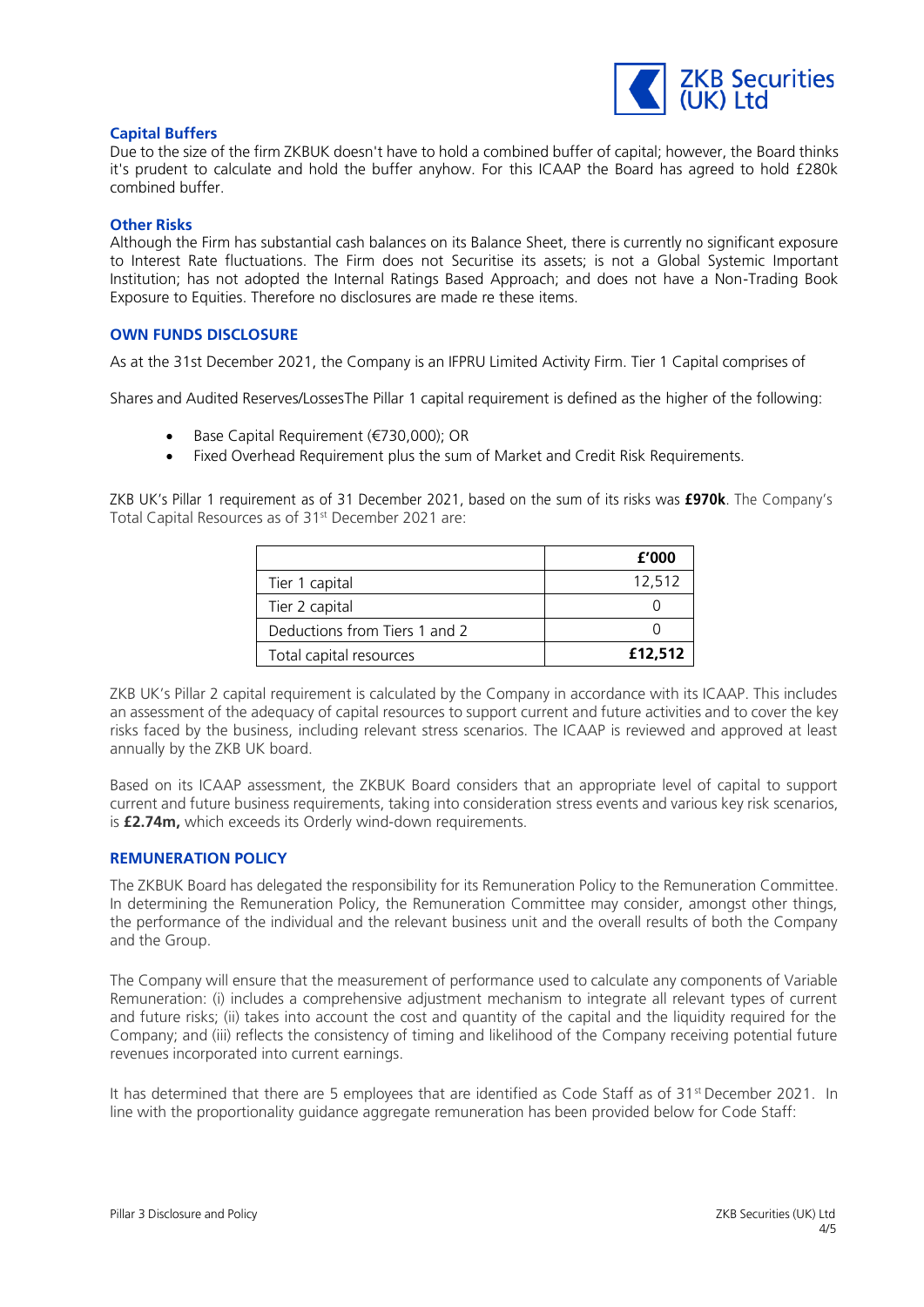

## **Capital Buffers**

Due to the size of the firm ZKBUK doesn't have to hold a combined buffer of capital; however, the Board thinks it's prudent to calculate and hold the buffer anyhow. For this ICAAP the Board has agreed to hold £280k combined buffer.

#### **Other Risks**

Although the Firm has substantial cash balances on its Balance Sheet, there is currently no significant exposure to Interest Rate fluctuations. The Firm does not Securitise its assets; is not a Global Systemic Important Institution; has not adopted the Internal Ratings Based Approach; and does not have a Non-Trading Book Exposure to Equities. Therefore no disclosures are made re these items.

## **OWN FUNDS DISCLOSURE**

As at the 31st December 2021, the Company is an IFPRU Limited Activity Firm. Tier 1 Capital comprises of

Shares and Audited Reserves/LossesThe Pillar 1 capital requirement is defined as the higher of the following:

- Base Capital Requirement (€730,000); OR
- Fixed Overhead Requirement plus the sum of Market and Credit Risk Requirements.

ZKB UK's Pillar 1 requirement as of 31 December 2021, based on the sum of its risks was **£970k**. The Company's Total Capital Resources as of 31<sup>st</sup> December 2021 are:

|                               | £'000   |
|-------------------------------|---------|
| Tier 1 capital                | 12,512  |
| Tier 2 capital                |         |
| Deductions from Tiers 1 and 2 |         |
| Total capital resources       | £12,512 |

ZKB UK's Pillar 2 capital requirement is calculated by the Company in accordance with its ICAAP. This includes an assessment of the adequacy of capital resources to support current and future activities and to cover the key risks faced by the business, including relevant stress scenarios. The ICAAP is reviewed and approved at least annually by the ZKB UK board.

Based on its ICAAP assessment, the ZKBUK Board considers that an appropriate level of capital to support current and future business requirements, taking into consideration stress events and various key risk scenarios, is **£2.74m,** which exceeds its Orderly wind-down requirements.

#### **REMUNERATION POLICY**

The ZKBUK Board has delegated the responsibility for its Remuneration Policy to the Remuneration Committee. In determining the Remuneration Policy, the Remuneration Committee may consider, amongst other things, the performance of the individual and the relevant business unit and the overall results of both the Company and the Group.

The Company will ensure that the measurement of performance used to calculate any components of Variable Remuneration: (i) includes a comprehensive adjustment mechanism to integrate all relevant types of current and future risks; (ii) takes into account the cost and quantity of the capital and the liquidity required for the Company; and (iii) reflects the consistency of timing and likelihood of the Company receiving potential future revenues incorporated into current earnings.

It has determined that there are 5 employees that are identified as Code Staff as of 31<sup>st</sup> December 2021. In line with the proportionality guidance aggregate remuneration has been provided below for Code Staff: